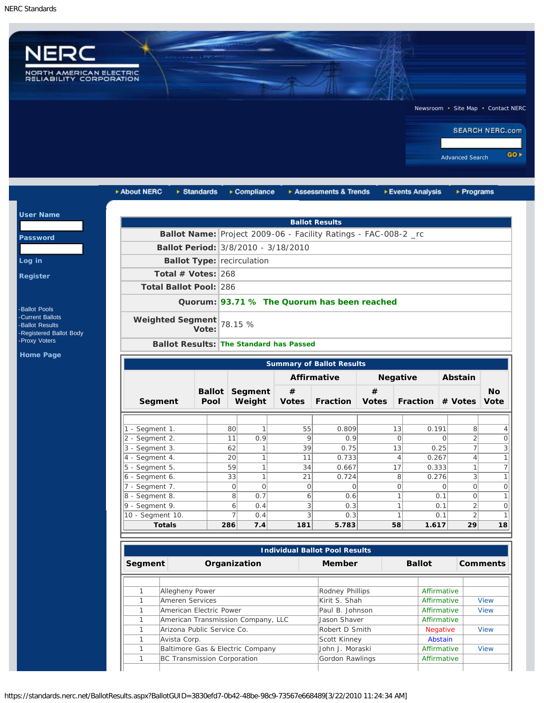$|$  Us

Pa

 $Loq$  $Re<sub>g</sub>$ 



| About NERC                                     | $\triangleright$ Standards        |                | $\triangleright$ Compliance |              | Assessments & Trends                                            |                 | ▶ Events Analysis | $\triangleright$ Programs               |           |
|------------------------------------------------|-----------------------------------|----------------|-----------------------------|--------------|-----------------------------------------------------------------|-----------------|-------------------|-----------------------------------------|-----------|
|                                                |                                   |                |                             |              | <b>Ballot Results</b>                                           |                 |                   |                                         |           |
|                                                |                                   |                |                             |              | Ballot Name: Project 2009-06 - Facility Ratings - FAC-008-2 _rc |                 |                   |                                         |           |
| Ballot Period: 3/8/2010 - 3/18/2010            |                                   |                |                             |              |                                                                 |                 |                   |                                         |           |
|                                                |                                   |                |                             |              |                                                                 |                 |                   |                                         |           |
|                                                | <b>Ballot Type: recirculation</b> |                |                             |              |                                                                 |                 |                   |                                         |           |
| Total # Votes: $268$                           |                                   |                |                             |              |                                                                 |                 |                   |                                         |           |
| <b>Total Ballot Pool: 286</b>                  |                                   |                |                             |              |                                                                 |                 |                   |                                         |           |
|                                                |                                   |                |                             |              | Quorum: 93.71 % The Quorum has been reached                     |                 |                   |                                         |           |
| <b>Weighted Segment</b>                        | Vote:                             | 78.15 %        |                             |              |                                                                 |                 |                   |                                         |           |
| <b>Ballot Results: The Standard has Passed</b> |                                   |                |                             |              |                                                                 |                 |                   |                                         |           |
|                                                |                                   |                |                             |              |                                                                 |                 |                   |                                         |           |
|                                                | <b>Summary of Ballot Results</b>  |                |                             |              |                                                                 |                 |                   |                                         |           |
|                                                |                                   |                |                             |              | <b>Affirmative</b>                                              | <b>Negative</b> |                   | Abstain                                 |           |
|                                                | <b>Ballot</b>                     | Segment        |                             | $\#$         |                                                                 | #               |                   |                                         | <b>No</b> |
| Segment                                        | Pool                              |                | Weight                      | <b>Votes</b> | <b>Fraction</b>                                                 | <b>Votes</b>    | Fraction # Votes  |                                         | Vote      |
|                                                |                                   |                |                             |              |                                                                 |                 |                   |                                         |           |
| - Segment 1.                                   |                                   | 80             | $\mathbf{1}$                | 55           | 0.809                                                           | 13              | 0.191             | 8 <sup>1</sup>                          |           |
| 2 - Segment 2.                                 |                                   | 11             | 0.9                         | 9            | 0.9                                                             |                 | $\circ$           | $\overline{2}$<br>$\Omega$              |           |
| $3 - Segment 3$ .                              |                                   | 62             | $\mathbf{1}$                | 39           | 0.75                                                            | 13              | 0.25              | $\overline{7}$                          |           |
| 4 - Segment 4.                                 |                                   | 20             | $\mathbf{1}$                | 11           | 0.733                                                           |                 | 0.267<br>4        | $\left 4\right $                        |           |
| 5 - Segment 5.                                 |                                   | 59             | $\mathbf{1}$                | 34           | 0.667                                                           | 17              | 0.333             | 1                                       |           |
| $6 - Segment 6.$                               |                                   | 33             | $\mathbf{1}$                | 21           | 0.724                                                           |                 | 8<br>0.276        | $\frac{3}{2}$                           |           |
| 7 - Segment 7.                                 |                                   | $\overline{O}$ | $\mathbf 0$                 | $\circ$      | $\Omega$                                                        |                 | 0                 | $\circ$<br>$\Omega$                     |           |
| 8 - Segment 8.<br>$9 -$ Segment 9.             |                                   | 8              | 0.7                         | 6            | 0.6                                                             |                 |                   | $\circ$<br>0.1                          |           |
|                                                |                                   | 6              | 0.4                         | 3            | 0.3                                                             |                 | 1                 | $\overline{2}$<br>0.1<br>$\overline{2}$ |           |
| 10 - Segment 10.                               |                                   | $\overline{7}$ | 0.4                         | 3            | 0.3                                                             |                 | 1                 | 0.1                                     |           |

| <b>Individual Ballot Pool Results</b> |                                    |                 |  |                 |                 |  |  |
|---------------------------------------|------------------------------------|-----------------|--|-----------------|-----------------|--|--|
| Segment                               | Organization                       | <b>Member</b>   |  | <b>Ballot</b>   | <b>Comments</b> |  |  |
|                                       |                                    |                 |  |                 |                 |  |  |
|                                       | Allegheny Power                    | Rodney Phillips |  | Affirmative     |                 |  |  |
|                                       | Ameren Services                    | Kirit S. Shah   |  | Affirmative     | <b>View</b>     |  |  |
|                                       | American Electric Power            | Paul B. Johnson |  | Affirmative     | View            |  |  |
|                                       | American Transmission Company, LLC | Jason Shaver    |  | Affirmative     |                 |  |  |
|                                       | Arizona Public Service Co.         | Robert D Smith  |  | <b>Negative</b> | <b>View</b>     |  |  |
|                                       | Avista Corp.                       | Scott Kinney    |  | Abstain         |                 |  |  |
|                                       | Baltimore Gas & Electric Company   | John J. Moraski |  | Affirmative     | <b>View</b>     |  |  |
|                                       | BC Transmission Corporation        | Gordon Rawlings |  | Affirmative     |                 |  |  |
|                                       |                                    |                 |  |                 |                 |  |  |

https://standards.nerc.net/BallotResults.aspx?BallotGUID=3830efd7-0b42-48be-98c9-73567e668489[3/22/2010 11:24:34 AM]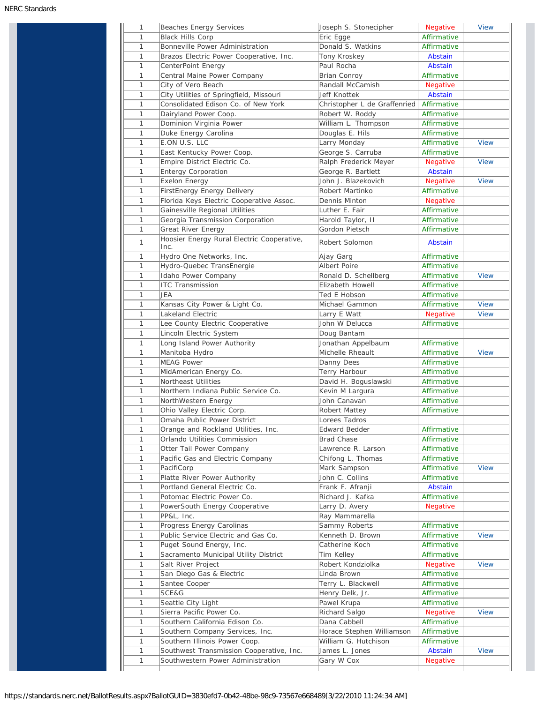| 1 | Beaches Energy Services                                       | Joseph S. Stonecipher        | <b>Negative</b> | <b>View</b> |
|---|---------------------------------------------------------------|------------------------------|-----------------|-------------|
| 1 | <b>Black Hills Corp</b>                                       | Eric Egge                    | Affirmative     |             |
| 1 | Bonneville Power Administration                               | Donald S. Watkins            | Affirmative     |             |
| 1 | Brazos Electric Power Cooperative, Inc.                       | Tony Kroskey                 | Abstain         |             |
| 1 | CenterPoint Energy                                            | Paul Rocha                   | Abstain         |             |
| 1 | Central Maine Power Company                                   | <b>Brian Conroy</b>          | Affirmative     |             |
| 1 | City of Vero Beach                                            | Randall McCamish             | <b>Negative</b> |             |
| 1 | City Utilities of Springfield, Missouri                       | Jeff Knottek                 | Abstain         |             |
| 1 | Consolidated Edison Co. of New York                           | Christopher L de Graffenried | Affirmative     |             |
| 1 | Dairyland Power Coop.                                         | Robert W. Roddy              | Affirmative     |             |
| 1 | Dominion Virginia Power                                       | William L. Thompson          | Affirmative     |             |
| 1 | Duke Energy Carolina                                          | Douglas E. Hils              | Affirmative     |             |
| 1 | E.ON U.S. LLC                                                 | Larry Monday                 | Affirmative     | <b>View</b> |
| 1 | East Kentucky Power Coop.                                     | George S. Carruba            | Affirmative     |             |
| 1 | Empire District Electric Co.                                  | Ralph Frederick Meyer        | <b>Negative</b> | <b>View</b> |
| 1 | <b>Entergy Corporation</b>                                    | George R. Bartlett           | Abstain         |             |
| 1 | <b>Exelon Energy</b>                                          | John J. Blazekovich          | <b>Negative</b> | <b>View</b> |
| 1 | FirstEnergy Energy Delivery                                   | Robert Martinko              | Affirmative     |             |
| 1 | Florida Keys Electric Cooperative Assoc.                      | Dennis Minton                |                 |             |
|   |                                                               |                              | <b>Negative</b> |             |
| 1 | Gainesville Regional Utilities                                | Luther E. Fair               | Affirmative     |             |
| 1 | Georgia Transmission Corporation                              | Harold Taylor, II            | Affirmative     |             |
| 1 | Great River Energy                                            | Gordon Pietsch               | Affirmative     |             |
| 1 | Hoosier Energy Rural Electric Cooperative,<br>Inc.            | Robert Solomon               | Abstain         |             |
| 1 | Hydro One Networks, Inc.                                      | Ajay Garg                    | Affirmative     |             |
| 1 | Hydro-Quebec TransEnergie                                     | <b>Albert Poire</b>          | Affirmative     |             |
| 1 | Idaho Power Company                                           | Ronald D. Schellberg         | Affirmative     | <b>View</b> |
| 1 | <b>ITC Transmission</b>                                       | Elizabeth Howell             | Affirmative     |             |
| 1 | JEA                                                           | Ted E Hobson                 | Affirmative     |             |
| 1 | Kansas City Power & Light Co.                                 | Michael Gammon               | Affirmative     | <b>View</b> |
| 1 | Lakeland Electric                                             | Larry E Watt                 | <b>Negative</b> | <b>View</b> |
| 1 | Lee County Electric Cooperative                               | John W Delucca               | Affirmative     |             |
| 1 | Lincoln Electric System                                       | Doug Bantam                  |                 |             |
| 1 | Long Island Power Authority                                   | Jonathan Appelbaum           | Affirmative     |             |
| 1 | Manitoba Hydro                                                | Michelle Rheault             | Affirmative     | <b>View</b> |
| 1 | <b>MEAG Power</b>                                             | Danny Dees                   | Affirmative     |             |
| 1 | MidAmerican Energy Co.                                        | Terry Harbour                | Affirmative     |             |
| 1 | Northeast Utilities                                           | David H. Boguslawski         | Affirmative     |             |
| 1 | Northern Indiana Public Service Co.                           | Kevin M Largura              | Affirmative     |             |
| 1 | NorthWestern Energy                                           | John Canavan                 | Affirmative     |             |
| 1 | Ohio Valley Electric Corp.                                    | Robert Mattey                | Affirmative     |             |
| T | Omaha Public Power District                                   | Lorees Tadros                |                 |             |
| 1 | Orange and Rockland Utilities, Inc.                           | Edward Bedder                | Affirmative     |             |
| 1 | Orlando Utilities Commission                                  | <b>Brad Chase</b>            | Affirmative     |             |
| 1 | Otter Tail Power Company                                      | Lawrence R. Larson           | Affirmative     |             |
| 1 | Pacific Gas and Electric Company                              | Chifong L. Thomas            | Affirmative     |             |
| 1 | PacifiCorp                                                    | Mark Sampson                 | Affirmative     | <b>View</b> |
| 1 |                                                               |                              | Affirmative     |             |
| 1 | Platte River Power Authority<br>Portland General Electric Co. | John C. Collins              |                 |             |
|   |                                                               | Frank F. Afranji             | Abstain         |             |
| 1 | Potomac Electric Power Co.                                    | Richard J. Kafka             | Affirmative     |             |
| 1 | PowerSouth Energy Cooperative                                 | Larry D. Avery               | <b>Negative</b> |             |
| 1 | PP&L, Inc.                                                    | Ray Mammarella               |                 |             |
| 1 | Progress Energy Carolinas                                     | Sammy Roberts                | Affirmative     |             |
| 1 | Public Service Electric and Gas Co.                           | Kenneth D. Brown             | Affirmative     | <b>View</b> |
| 1 | Puget Sound Energy, Inc.                                      | Catherine Koch               | Affirmative     |             |
| 1 | Sacramento Municipal Utility District                         | Tim Kelley                   | Affirmative     |             |
| 1 | Salt River Project                                            | Robert Kondziolka            | <b>Negative</b> | <b>View</b> |
| 1 | San Diego Gas & Electric                                      | Linda Brown                  | Affirmative     |             |
| 1 | Santee Cooper                                                 | Terry L. Blackwell           | Affirmative     |             |
| 1 | SCE&G                                                         | Henry Delk, Jr.              | Affirmative     |             |
| 1 | Seattle City Light                                            | Pawel Krupa                  | Affirmative     |             |
| 1 | Sierra Pacific Power Co.                                      | Richard Salgo                | <b>Negative</b> | <b>View</b> |
| 1 | Southern California Edison Co.                                | Dana Cabbell                 | Affirmative     |             |
| 1 | Southern Company Services, Inc.                               | Horace Stephen Williamson    | Affirmative     |             |
| 1 | Southern Illinois Power Coop.                                 | William G. Hutchison         | Affirmative     |             |
|   |                                                               |                              |                 |             |
| 1 | Southwest Transmission Cooperative, Inc.                      | James L. Jones               | Abstain         | <b>View</b> |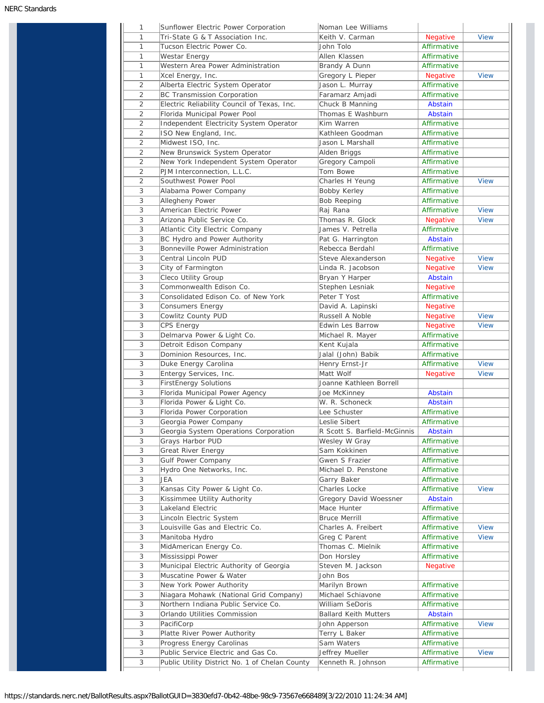| 1              | Sunflower Electric Power Corporation        | Noman Lee Williams           |                 |             |
|----------------|---------------------------------------------|------------------------------|-----------------|-------------|
| 1              | Tri-State G & T Association Inc.            | Keith V. Carman              | Negative        | <b>View</b> |
| $\mathbf{1}$   | Tucson Electric Power Co.                   | John Tolo                    | Affirmative     |             |
| 1              | Westar Energy                               | Allen Klassen                | Affirmative     |             |
| 1              | Western Area Power Administration           | Brandy A Dunn                | Affirmative     |             |
| 1              | Xcel Energy, Inc.                           | Gregory L Pieper             | <b>Negative</b> | <b>View</b> |
| $\overline{2}$ | Alberta Electric System Operator            | Jason L. Murray              | Affirmative     |             |
| 2              | <b>BC Transmission Corporation</b>          | Faramarz Amjadi              | Affirmative     |             |
| 2              | Electric Reliability Council of Texas, Inc. | Chuck B Manning              | Abstain         |             |
| 2              | Florida Municipal Power Pool                | Thomas E Washburn            | Abstain         |             |
| 2              | Independent Electricity System Operator     | Kim Warren                   | Affirmative     |             |
| $\overline{2}$ | ISO New England, Inc.                       | Kathleen Goodman             | Affirmative     |             |
| 2              | Midwest ISO, Inc.                           | Jason L Marshall             | Affirmative     |             |
| 2              | New Brunswick System Operator               | Alden Briggs                 | Affirmative     |             |
| $\overline{2}$ | New York Independent System Operator        | Gregory Campoli              | Affirmative     |             |
| 2              | PJM Interconnection, L.L.C.                 | Tom Bowe                     | Affirmative     |             |
| 2              | Southwest Power Pool                        |                              | Affirmative     | <b>View</b> |
|                |                                             | Charles H Yeung              |                 |             |
| 3              | Alabama Power Company                       | Bobby Kerley                 | Affirmative     |             |
| 3              | Allegheny Power                             | <b>Bob Reeping</b>           | Affirmative     |             |
| 3              | American Electric Power                     | Raj Rana                     | Affirmative     | <b>View</b> |
| 3              | Arizona Public Service Co.                  | Thomas R. Glock              | <b>Negative</b> | <b>View</b> |
| 3              | Atlantic City Electric Company              | James V. Petrella            | Affirmative     |             |
| 3              | BC Hydro and Power Authority                | Pat G. Harrington            | Abstain         |             |
| 3              | Bonneville Power Administration             | Rebecca Berdahl              | Affirmative     |             |
| 3              | Central Lincoln PUD                         | Steve Alexanderson           | <b>Negative</b> | <b>View</b> |
| 3              | City of Farmington                          | Linda R. Jacobson            | Negative        | <b>View</b> |
| 3              | Cleco Utility Group                         | Bryan Y Harper               | Abstain         |             |
| 3              | Commonwealth Edison Co.                     | Stephen Lesniak              | <b>Negative</b> |             |
| 3              | Consolidated Edison Co. of New York         | Peter T Yost                 | Affirmative     |             |
| 3              | Consumers Energy                            | David A. Lapinski            | <b>Negative</b> |             |
| 3              | Cowlitz County PUD                          | Russell A Noble              | <b>Negative</b> | <b>View</b> |
| 3              | CPS Energy                                  | Edwin Les Barrow             | <b>Negative</b> | <b>View</b> |
| 3              | Delmarva Power & Light Co.                  | Michael R. Mayer             | Affirmative     |             |
| 3              | Detroit Edison Company                      | Kent Kujala                  | Affirmative     |             |
| 3              | Dominion Resources, Inc.                    | Jalal (John) Babik           | Affirmative     |             |
|                |                                             |                              |                 | <b>View</b> |
| 3              | Duke Energy Carolina                        | Henry Ernst-Jr               | Affirmative     |             |
| 3              | Entergy Services, Inc.                      | Matt Wolf                    | <b>Negative</b> | <b>View</b> |
| 3              | <b>FirstEnergy Solutions</b>                | Joanne Kathleen Borrell      |                 |             |
| 3              | Florida Municipal Power Agency              | Joe McKinney                 | Abstain         |             |
| 3              | Florida Power & Light Co.                   | W. R. Schoneck               | Abstain         |             |
| 3              | Florida Power Corporation                   | Lee Schuster                 | Affirmative     |             |
| 3              | Georgia Power Company                       | Leslie Sibert                | Affirmative     |             |
| 3              | Georgia System Operations Corporation       | R Scott S. Barfield-McGinnis | Abstain         |             |
| 3              | Grays Harbor PUD                            | Wesley W Gray                | Affirmative     |             |
| 3              | Great River Energy                          | Sam Kokkinen                 | Affirmative     |             |
| 3              | Gulf Power Company                          | Gwen S Frazier               | Affirmative     |             |
| 3              | Hydro One Networks, Inc.                    | Michael D. Penstone          | Affirmative     |             |
| 3              | JEA                                         | Garry Baker                  | Affirmative     |             |
| 3              | Kansas City Power & Light Co.               | Charles Locke                | Affirmative     | <b>View</b> |
| 3              | Kissimmee Utility Authority                 | Gregory David Woessner       | Abstain         |             |
| 3              | Lakeland Electric                           | Mace Hunter                  | Affirmative     |             |
| 3              | Lincoln Electric System                     | <b>Bruce Merrill</b>         | Affirmative     |             |
| 3              | Louisville Gas and Electric Co.             | Charles A. Freibert          | Affirmative     | <b>View</b> |
| 3              | Manitoba Hydro                              | Greg C Parent                | Affirmative     | <b>View</b> |
| 3              | MidAmerican Energy Co.                      | Thomas C. Mielnik            | Affirmative     |             |
| 3              | Mississippi Power                           | Don Horsley                  | Affirmative     |             |
| 3              | Municipal Electric Authority of Georgia     | Steven M. Jackson            | Negative        |             |
| 3              | Muscatine Power & Water                     | John Bos                     |                 |             |
|                |                                             |                              |                 |             |
| 3              | New York Power Authority                    | Marilyn Brown                | Affirmative     |             |
| 3              | Niagara Mohawk (National Grid Company)      | Michael Schiavone            | Affirmative     |             |
| 3              | Northern Indiana Public Service Co.         | William SeDoris              | Affirmative     |             |
| 3              | Orlando Utilities Commission                | <b>Ballard Keith Mutters</b> | Abstain         |             |
| 3              | PacifiCorp                                  | John Apperson                | Affirmative     | <b>View</b> |
| 3              | Platte River Power Authority                | Terry L Baker                | Affirmative     |             |
|                | Progress Energy Carolinas                   | Sam Waters                   | Affirmative     |             |
| 3              |                                             |                              |                 |             |
| 3              | Public Service Electric and Gas Co.         | Jeffrey Mueller              | Affirmative     | <b>View</b> |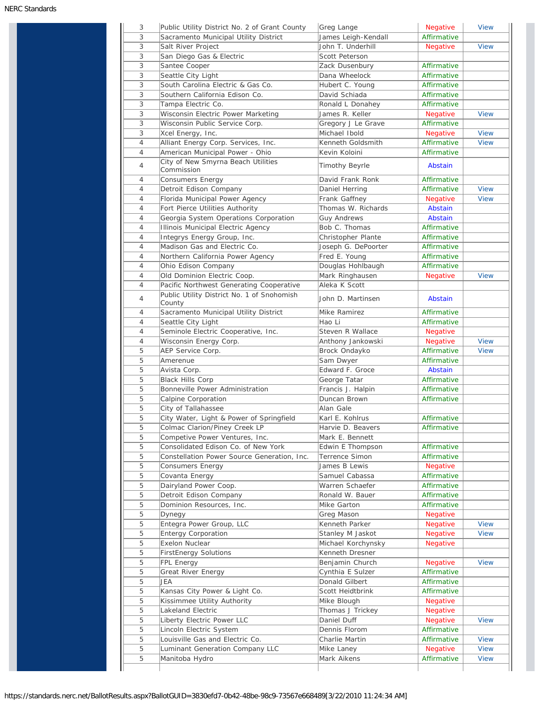| 3              | Public Utility District No. 2 of Grant County        | Greg Lange                | <b>Negative</b>         | <b>View</b>                |
|----------------|------------------------------------------------------|---------------------------|-------------------------|----------------------------|
| 3              | Sacramento Municipal Utility District                | James Leigh-Kendall       | Affirmative             |                            |
| 3              | Salt River Project                                   | John T. Underhill         | Negative                | <b>View</b>                |
| 3              | San Diego Gas & Electric                             | Scott Peterson            |                         |                            |
| 3              | Santee Cooper                                        | Zack Dusenbury            | Affirmative             |                            |
| 3              | Seattle City Light                                   | Dana Wheelock             | Affirmative             |                            |
| 3              | South Carolina Electric & Gas Co.                    | Hubert C. Young           | Affirmative             |                            |
| 3              | Southern California Edison Co.                       | David Schiada             | Affirmative             |                            |
| 3              | Tampa Electric Co.                                   | Ronald L Donahey          | Affirmative             |                            |
| 3              | Wisconsin Electric Power Marketing                   | James R. Keller           |                         | <b>View</b>                |
|                |                                                      |                           | <b>Negative</b>         |                            |
| 3              | Wisconsin Public Service Corp.                       | Gregory J Le Grave        | Affirmative             |                            |
| 3              | Xcel Energy, Inc.                                    | Michael Ibold             | Negative                | <b>View</b>                |
| $\overline{4}$ | Alliant Energy Corp. Services, Inc.                  | Kenneth Goldsmith         | Affirmative             | <b>View</b>                |
| $\overline{4}$ | American Municipal Power - Ohio                      | Kevin Koloini             | Affirmative             |                            |
| $\overline{4}$ | City of New Smyrna Beach Utilities<br>Commission     | Timothy Beyrle            | Abstain                 |                            |
| 4              | <b>Consumers Energy</b>                              | David Frank Ronk          | Affirmative             |                            |
| 4              | Detroit Edison Company                               | Daniel Herring            | Affirmative             | <b>View</b>                |
| 4              | Florida Municipal Power Agency                       | Frank Gaffney             | Negative                | <b>View</b>                |
| 4              | Fort Pierce Utilities Authority                      | Thomas W. Richards        | Abstain                 |                            |
| 4              | Georgia System Operations Corporation                | <b>Guy Andrews</b>        | Abstain                 |                            |
| 4              | Illinois Municipal Electric Agency                   | Bob C. Thomas             | Affirmative             |                            |
| 4              | Integrys Energy Group, Inc.                          | Christopher Plante        | Affirmative             |                            |
|                | Madison Gas and Electric Co.                         |                           |                         |                            |
| 4              |                                                      | Joseph G. DePoorter       | Affirmative             |                            |
| $\overline{4}$ | Northern California Power Agency                     | Fred E. Young             | Affirmative             |                            |
| 4              | Ohio Edison Company                                  | Douglas Hohlbaugh         | Affirmative             |                            |
| 4              | Old Dominion Electric Coop.                          | Mark Ringhausen           | <b>Negative</b>         | <b>View</b>                |
| 4              | Pacific Northwest Generating Cooperative             | Aleka K Scott             |                         |                            |
| 4              | Public Utility District No. 1 of Snohomish<br>County | John D. Martinsen         | Abstain                 |                            |
| 4              | Sacramento Municipal Utility District                | Mike Ramirez              | Affirmative             |                            |
| 4              | Seattle City Light                                   | Hao Li                    | Affirmative             |                            |
| 4              | Seminole Electric Cooperative, Inc.                  | Steven R Wallace          | <b>Negative</b>         |                            |
| 4              | Wisconsin Energy Corp.                               | Anthony Jankowski         | <b>Negative</b>         | <b>View</b>                |
| 5              | AEP Service Corp.                                    | Brock Ondayko             | Affirmative             | <b>View</b>                |
| 5              | Amerenue                                             | Sam Dwyer                 | Affirmative             |                            |
| 5              |                                                      | Edward F. Groce           | Abstain                 |                            |
|                | Avista Corp.                                         |                           |                         |                            |
| 5              | <b>Black Hills Corp</b>                              | George Tatar              | Affirmative             |                            |
| 5              | Bonneville Power Administration                      | Francis J. Halpin         | Affirmative             |                            |
| 5              | Calpine Corporation                                  | Duncan Brown              | Affirmative             |                            |
| 5              | City of Tallahassee                                  | Alan Gale                 |                         |                            |
| 5              | City Water, Light & Power of Springfield             | Karl E. Kohlrus           | Affirmative             |                            |
| 5              | Colmac Clarion/Piney Creek LP                        | Harvie D. Beavers         | Affirmative             |                            |
| 5              | Competive Power Ventures, Inc.                       | Mark E. Bennett           |                         |                            |
| 5              | Consolidated Edison Co. of New York                  | Edwin E Thompson          | Affirmative             |                            |
| 5              | Constellation Power Source Generation, Inc.          | Terrence Simon            | Affirmative             |                            |
| 5              | Consumers Energy                                     | James B Lewis             | Negative                |                            |
| 5              | Covanta Energy                                       | Samuel Cabassa            | Affirmative             |                            |
| 5              | Dairyland Power Coop.                                | Warren Schaefer           | Affirmative             |                            |
| 5              | Detroit Edison Company                               | Ronald W. Bauer           | Affirmative             |                            |
| 5              | Dominion Resources, Inc.                             |                           |                         |                            |
|                |                                                      | Mike Garton               | Affirmative             |                            |
| 5              | Dynegy                                               | Greg Mason                | <b>Negative</b>         |                            |
| 5              | Entegra Power Group, LLC                             | Kenneth Parker            | Negative                | <b>View</b>                |
| 5              | <b>Entergy Corporation</b>                           | Stanley M Jaskot          | Negative                | <b>View</b>                |
| 5              | Exelon Nuclear                                       | Michael Korchynsky        | <b>Negative</b>         |                            |
| 5              | <b>FirstEnergy Solutions</b>                         | Kenneth Dresner           |                         |                            |
| 5              | FPL Energy                                           | Benjamin Church           | Negative                | <b>View</b>                |
| 5              | Great River Energy                                   | Cynthia E Sulzer          | Affirmative             |                            |
| 5              | JEA                                                  | Donald Gilbert            | Affirmative             |                            |
| 5              | Kansas City Power & Light Co.                        | Scott Heidtbrink          | Affirmative             |                            |
| 5              | Kissimmee Utility Authority                          | Mike Blough               | Negative                |                            |
| 5              | Lakeland Electric                                    | Thomas J Trickey          | <b>Negative</b>         |                            |
|                |                                                      | Daniel Duff               | Negative                | <b>View</b>                |
|                |                                                      |                           |                         |                            |
| 5              | Liberty Electric Power LLC                           |                           |                         |                            |
| 5              | Lincoln Electric System                              | Dennis Florom             | Affirmative             |                            |
| 5              | Louisville Gas and Electric Co.                      | Charlie Martin            | Affirmative             | <b>View</b>                |
| 5<br>5         | Luminant Generation Company LLC<br>Manitoba Hydro    | Mike Laney<br>Mark Aikens | Negative<br>Affirmative | <b>View</b><br><b>View</b> |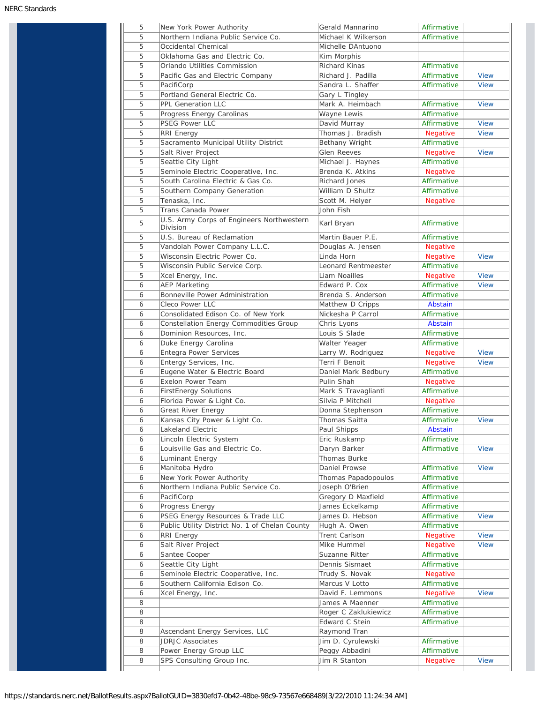| 5<br>5<br>5<br>5<br>5<br>5<br>PacifiCorp<br>5<br>5<br>5<br>5<br>5<br><b>RRI Energy</b><br>5<br>5<br>5<br>5<br>5<br>5<br>5<br>Tenaska, Inc.<br>5<br>5<br>Division<br>5<br>5<br>5<br>5<br>5<br>6<br><b>AEP Marketing</b><br>6<br>6<br>6<br>6<br>6<br>6<br>6<br>6<br>6<br>6<br>6<br>6<br>6<br>6<br>6<br>6<br>6<br>6<br>6<br>6<br>6<br>6<br>PacifiCorp<br>6<br>6 | Northern Indiana Public Service Co.<br>Occidental Chemical<br>Oklahoma Gas and Electric Co.<br>Orlando Utilities Commission<br>Pacific Gas and Electric Company<br>Portland General Electric Co.<br>PPL Generation LLC<br>Progress Energy Carolinas<br><b>PSEG Power LLC</b><br>Sacramento Municipal Utility District<br>Salt River Project<br>Seattle City Light<br>Seminole Electric Cooperative, Inc.<br>South Carolina Electric & Gas Co.<br>Southern Company Generation<br>Trans Canada Power<br>U.S. Army Corps of Engineers Northwestern<br>U.S. Bureau of Reclamation<br>Vandolah Power Company L.L.C.<br>Wisconsin Electric Power Co.<br>Wisconsin Public Service Corp.<br>Xcel Energy, Inc.<br>Bonneville Power Administration<br>Cleco Power LLC<br>Consolidated Edison Co. of New York<br>Constellation Energy Commodities Group<br>Dominion Resources, Inc.<br>Duke Energy Carolina<br><b>Entegra Power Services</b><br>Entergy Services, Inc.<br>Eugene Water & Electric Board<br>Exelon Power Team<br><b>FirstEnergy Solutions</b><br>Florida Power & Light Co.<br>Great River Energy<br>Kansas City Power & Light Co.<br>Lakeland Electric<br>Lincoln Electric System<br>Louisville Gas and Electric Co.<br>Luminant Energy<br>Manitoba Hydro<br>New York Power Authority<br>Northern Indiana Public Service Co.<br>Progress Energy<br>PSEG Energy Resources & Trade LLC<br>Public Utility District No. 1 of Chelan County | Michael K Wilkerson<br>Michelle DAntuono<br>Kim Morphis<br><b>Richard Kinas</b><br>Richard J. Padilla<br>Sandra L. Shaffer<br>Gary L Tingley<br>Mark A. Heimbach<br>Wayne Lewis<br>David Murray<br>Thomas J. Bradish<br>Bethany Wright<br>Glen Reeves<br>Michael J. Haynes<br>Brenda K. Atkins<br>Richard Jones<br>William D Shultz<br>Scott M. Helyer<br>John Fish<br>Karl Bryan<br>Martin Bauer P.E.<br>Douglas A. Jensen<br>Linda Horn<br>Leonard Rentmeester<br>Liam Noailles<br>Edward P. Cox<br>Brenda S. Anderson<br>Matthew D Cripps<br>Nickesha P Carrol<br>Chris Lyons<br>Louis S Slade<br>Walter Yeager<br>Larry W. Rodriguez<br>Terri F Benoit<br>Daniel Mark Bedbury<br>Pulin Shah<br>Mark S Travaglianti<br>Silvia P Mitchell<br>Donna Stephenson<br>Thomas Saitta<br>Paul Shipps<br>Eric Ruskamp | Affirmative<br>Affirmative<br>Affirmative<br>Affirmative<br>Affirmative<br>Affirmative<br>Affirmative<br><b>Negative</b><br>Affirmative<br><b>Negative</b><br>Affirmative<br><b>Negative</b><br>Affirmative<br>Affirmative<br><b>Negative</b><br>Affirmative<br>Affirmative<br><b>Negative</b><br>Negative<br>Affirmative<br><b>Negative</b><br>Affirmative<br>Affirmative<br>Abstain<br>Affirmative<br>Abstain<br>Affirmative<br>Affirmative<br><b>Negative</b><br>Negative<br>Affirmative<br><b>Negative</b><br>Affirmative<br><b>Negative</b><br>Affirmative | <b>View</b><br><b>View</b><br><b>View</b><br><b>View</b><br><b>View</b><br><b>View</b><br><b>View</b><br><b>View</b><br><b>View</b><br><b>View</b><br><b>View</b> |
|--------------------------------------------------------------------------------------------------------------------------------------------------------------------------------------------------------------------------------------------------------------------------------------------------------------------------------------------------------------|--------------------------------------------------------------------------------------------------------------------------------------------------------------------------------------------------------------------------------------------------------------------------------------------------------------------------------------------------------------------------------------------------------------------------------------------------------------------------------------------------------------------------------------------------------------------------------------------------------------------------------------------------------------------------------------------------------------------------------------------------------------------------------------------------------------------------------------------------------------------------------------------------------------------------------------------------------------------------------------------------------------------------------------------------------------------------------------------------------------------------------------------------------------------------------------------------------------------------------------------------------------------------------------------------------------------------------------------------------------------------------------------------------------------------------------------|-----------------------------------------------------------------------------------------------------------------------------------------------------------------------------------------------------------------------------------------------------------------------------------------------------------------------------------------------------------------------------------------------------------------------------------------------------------------------------------------------------------------------------------------------------------------------------------------------------------------------------------------------------------------------------------------------------------------------------------------------------------------------------------------------------------------|-----------------------------------------------------------------------------------------------------------------------------------------------------------------------------------------------------------------------------------------------------------------------------------------------------------------------------------------------------------------------------------------------------------------------------------------------------------------------------------------------------------------------------------------------------------------|-------------------------------------------------------------------------------------------------------------------------------------------------------------------|
|                                                                                                                                                                                                                                                                                                                                                              |                                                                                                                                                                                                                                                                                                                                                                                                                                                                                                                                                                                                                                                                                                                                                                                                                                                                                                                                                                                                                                                                                                                                                                                                                                                                                                                                                                                                                                            |                                                                                                                                                                                                                                                                                                                                                                                                                                                                                                                                                                                                                                                                                                                                                                                                                 |                                                                                                                                                                                                                                                                                                                                                                                                                                                                                                                                                                 |                                                                                                                                                                   |
|                                                                                                                                                                                                                                                                                                                                                              |                                                                                                                                                                                                                                                                                                                                                                                                                                                                                                                                                                                                                                                                                                                                                                                                                                                                                                                                                                                                                                                                                                                                                                                                                                                                                                                                                                                                                                            |                                                                                                                                                                                                                                                                                                                                                                                                                                                                                                                                                                                                                                                                                                                                                                                                                 |                                                                                                                                                                                                                                                                                                                                                                                                                                                                                                                                                                 |                                                                                                                                                                   |
|                                                                                                                                                                                                                                                                                                                                                              |                                                                                                                                                                                                                                                                                                                                                                                                                                                                                                                                                                                                                                                                                                                                                                                                                                                                                                                                                                                                                                                                                                                                                                                                                                                                                                                                                                                                                                            |                                                                                                                                                                                                                                                                                                                                                                                                                                                                                                                                                                                                                                                                                                                                                                                                                 |                                                                                                                                                                                                                                                                                                                                                                                                                                                                                                                                                                 |                                                                                                                                                                   |
|                                                                                                                                                                                                                                                                                                                                                              |                                                                                                                                                                                                                                                                                                                                                                                                                                                                                                                                                                                                                                                                                                                                                                                                                                                                                                                                                                                                                                                                                                                                                                                                                                                                                                                                                                                                                                            |                                                                                                                                                                                                                                                                                                                                                                                                                                                                                                                                                                                                                                                                                                                                                                                                                 |                                                                                                                                                                                                                                                                                                                                                                                                                                                                                                                                                                 |                                                                                                                                                                   |
|                                                                                                                                                                                                                                                                                                                                                              |                                                                                                                                                                                                                                                                                                                                                                                                                                                                                                                                                                                                                                                                                                                                                                                                                                                                                                                                                                                                                                                                                                                                                                                                                                                                                                                                                                                                                                            |                                                                                                                                                                                                                                                                                                                                                                                                                                                                                                                                                                                                                                                                                                                                                                                                                 |                                                                                                                                                                                                                                                                                                                                                                                                                                                                                                                                                                 |                                                                                                                                                                   |
|                                                                                                                                                                                                                                                                                                                                                              |                                                                                                                                                                                                                                                                                                                                                                                                                                                                                                                                                                                                                                                                                                                                                                                                                                                                                                                                                                                                                                                                                                                                                                                                                                                                                                                                                                                                                                            |                                                                                                                                                                                                                                                                                                                                                                                                                                                                                                                                                                                                                                                                                                                                                                                                                 |                                                                                                                                                                                                                                                                                                                                                                                                                                                                                                                                                                 |                                                                                                                                                                   |
|                                                                                                                                                                                                                                                                                                                                                              |                                                                                                                                                                                                                                                                                                                                                                                                                                                                                                                                                                                                                                                                                                                                                                                                                                                                                                                                                                                                                                                                                                                                                                                                                                                                                                                                                                                                                                            |                                                                                                                                                                                                                                                                                                                                                                                                                                                                                                                                                                                                                                                                                                                                                                                                                 |                                                                                                                                                                                                                                                                                                                                                                                                                                                                                                                                                                 |                                                                                                                                                                   |
|                                                                                                                                                                                                                                                                                                                                                              |                                                                                                                                                                                                                                                                                                                                                                                                                                                                                                                                                                                                                                                                                                                                                                                                                                                                                                                                                                                                                                                                                                                                                                                                                                                                                                                                                                                                                                            |                                                                                                                                                                                                                                                                                                                                                                                                                                                                                                                                                                                                                                                                                                                                                                                                                 |                                                                                                                                                                                                                                                                                                                                                                                                                                                                                                                                                                 |                                                                                                                                                                   |
|                                                                                                                                                                                                                                                                                                                                                              |                                                                                                                                                                                                                                                                                                                                                                                                                                                                                                                                                                                                                                                                                                                                                                                                                                                                                                                                                                                                                                                                                                                                                                                                                                                                                                                                                                                                                                            |                                                                                                                                                                                                                                                                                                                                                                                                                                                                                                                                                                                                                                                                                                                                                                                                                 |                                                                                                                                                                                                                                                                                                                                                                                                                                                                                                                                                                 |                                                                                                                                                                   |
|                                                                                                                                                                                                                                                                                                                                                              |                                                                                                                                                                                                                                                                                                                                                                                                                                                                                                                                                                                                                                                                                                                                                                                                                                                                                                                                                                                                                                                                                                                                                                                                                                                                                                                                                                                                                                            |                                                                                                                                                                                                                                                                                                                                                                                                                                                                                                                                                                                                                                                                                                                                                                                                                 |                                                                                                                                                                                                                                                                                                                                                                                                                                                                                                                                                                 |                                                                                                                                                                   |
|                                                                                                                                                                                                                                                                                                                                                              |                                                                                                                                                                                                                                                                                                                                                                                                                                                                                                                                                                                                                                                                                                                                                                                                                                                                                                                                                                                                                                                                                                                                                                                                                                                                                                                                                                                                                                            |                                                                                                                                                                                                                                                                                                                                                                                                                                                                                                                                                                                                                                                                                                                                                                                                                 |                                                                                                                                                                                                                                                                                                                                                                                                                                                                                                                                                                 |                                                                                                                                                                   |
|                                                                                                                                                                                                                                                                                                                                                              |                                                                                                                                                                                                                                                                                                                                                                                                                                                                                                                                                                                                                                                                                                                                                                                                                                                                                                                                                                                                                                                                                                                                                                                                                                                                                                                                                                                                                                            |                                                                                                                                                                                                                                                                                                                                                                                                                                                                                                                                                                                                                                                                                                                                                                                                                 |                                                                                                                                                                                                                                                                                                                                                                                                                                                                                                                                                                 |                                                                                                                                                                   |
|                                                                                                                                                                                                                                                                                                                                                              |                                                                                                                                                                                                                                                                                                                                                                                                                                                                                                                                                                                                                                                                                                                                                                                                                                                                                                                                                                                                                                                                                                                                                                                                                                                                                                                                                                                                                                            |                                                                                                                                                                                                                                                                                                                                                                                                                                                                                                                                                                                                                                                                                                                                                                                                                 |                                                                                                                                                                                                                                                                                                                                                                                                                                                                                                                                                                 |                                                                                                                                                                   |
|                                                                                                                                                                                                                                                                                                                                                              |                                                                                                                                                                                                                                                                                                                                                                                                                                                                                                                                                                                                                                                                                                                                                                                                                                                                                                                                                                                                                                                                                                                                                                                                                                                                                                                                                                                                                                            |                                                                                                                                                                                                                                                                                                                                                                                                                                                                                                                                                                                                                                                                                                                                                                                                                 |                                                                                                                                                                                                                                                                                                                                                                                                                                                                                                                                                                 |                                                                                                                                                                   |
|                                                                                                                                                                                                                                                                                                                                                              |                                                                                                                                                                                                                                                                                                                                                                                                                                                                                                                                                                                                                                                                                                                                                                                                                                                                                                                                                                                                                                                                                                                                                                                                                                                                                                                                                                                                                                            |                                                                                                                                                                                                                                                                                                                                                                                                                                                                                                                                                                                                                                                                                                                                                                                                                 |                                                                                                                                                                                                                                                                                                                                                                                                                                                                                                                                                                 |                                                                                                                                                                   |
|                                                                                                                                                                                                                                                                                                                                                              |                                                                                                                                                                                                                                                                                                                                                                                                                                                                                                                                                                                                                                                                                                                                                                                                                                                                                                                                                                                                                                                                                                                                                                                                                                                                                                                                                                                                                                            |                                                                                                                                                                                                                                                                                                                                                                                                                                                                                                                                                                                                                                                                                                                                                                                                                 |                                                                                                                                                                                                                                                                                                                                                                                                                                                                                                                                                                 |                                                                                                                                                                   |
|                                                                                                                                                                                                                                                                                                                                                              |                                                                                                                                                                                                                                                                                                                                                                                                                                                                                                                                                                                                                                                                                                                                                                                                                                                                                                                                                                                                                                                                                                                                                                                                                                                                                                                                                                                                                                            |                                                                                                                                                                                                                                                                                                                                                                                                                                                                                                                                                                                                                                                                                                                                                                                                                 |                                                                                                                                                                                                                                                                                                                                                                                                                                                                                                                                                                 |                                                                                                                                                                   |
|                                                                                                                                                                                                                                                                                                                                                              |                                                                                                                                                                                                                                                                                                                                                                                                                                                                                                                                                                                                                                                                                                                                                                                                                                                                                                                                                                                                                                                                                                                                                                                                                                                                                                                                                                                                                                            |                                                                                                                                                                                                                                                                                                                                                                                                                                                                                                                                                                                                                                                                                                                                                                                                                 |                                                                                                                                                                                                                                                                                                                                                                                                                                                                                                                                                                 |                                                                                                                                                                   |
|                                                                                                                                                                                                                                                                                                                                                              |                                                                                                                                                                                                                                                                                                                                                                                                                                                                                                                                                                                                                                                                                                                                                                                                                                                                                                                                                                                                                                                                                                                                                                                                                                                                                                                                                                                                                                            |                                                                                                                                                                                                                                                                                                                                                                                                                                                                                                                                                                                                                                                                                                                                                                                                                 |                                                                                                                                                                                                                                                                                                                                                                                                                                                                                                                                                                 |                                                                                                                                                                   |
|                                                                                                                                                                                                                                                                                                                                                              |                                                                                                                                                                                                                                                                                                                                                                                                                                                                                                                                                                                                                                                                                                                                                                                                                                                                                                                                                                                                                                                                                                                                                                                                                                                                                                                                                                                                                                            |                                                                                                                                                                                                                                                                                                                                                                                                                                                                                                                                                                                                                                                                                                                                                                                                                 |                                                                                                                                                                                                                                                                                                                                                                                                                                                                                                                                                                 |                                                                                                                                                                   |
|                                                                                                                                                                                                                                                                                                                                                              |                                                                                                                                                                                                                                                                                                                                                                                                                                                                                                                                                                                                                                                                                                                                                                                                                                                                                                                                                                                                                                                                                                                                                                                                                                                                                                                                                                                                                                            |                                                                                                                                                                                                                                                                                                                                                                                                                                                                                                                                                                                                                                                                                                                                                                                                                 |                                                                                                                                                                                                                                                                                                                                                                                                                                                                                                                                                                 |                                                                                                                                                                   |
|                                                                                                                                                                                                                                                                                                                                                              |                                                                                                                                                                                                                                                                                                                                                                                                                                                                                                                                                                                                                                                                                                                                                                                                                                                                                                                                                                                                                                                                                                                                                                                                                                                                                                                                                                                                                                            |                                                                                                                                                                                                                                                                                                                                                                                                                                                                                                                                                                                                                                                                                                                                                                                                                 |                                                                                                                                                                                                                                                                                                                                                                                                                                                                                                                                                                 |                                                                                                                                                                   |
|                                                                                                                                                                                                                                                                                                                                                              |                                                                                                                                                                                                                                                                                                                                                                                                                                                                                                                                                                                                                                                                                                                                                                                                                                                                                                                                                                                                                                                                                                                                                                                                                                                                                                                                                                                                                                            |                                                                                                                                                                                                                                                                                                                                                                                                                                                                                                                                                                                                                                                                                                                                                                                                                 |                                                                                                                                                                                                                                                                                                                                                                                                                                                                                                                                                                 |                                                                                                                                                                   |
|                                                                                                                                                                                                                                                                                                                                                              |                                                                                                                                                                                                                                                                                                                                                                                                                                                                                                                                                                                                                                                                                                                                                                                                                                                                                                                                                                                                                                                                                                                                                                                                                                                                                                                                                                                                                                            |                                                                                                                                                                                                                                                                                                                                                                                                                                                                                                                                                                                                                                                                                                                                                                                                                 |                                                                                                                                                                                                                                                                                                                                                                                                                                                                                                                                                                 |                                                                                                                                                                   |
|                                                                                                                                                                                                                                                                                                                                                              |                                                                                                                                                                                                                                                                                                                                                                                                                                                                                                                                                                                                                                                                                                                                                                                                                                                                                                                                                                                                                                                                                                                                                                                                                                                                                                                                                                                                                                            |                                                                                                                                                                                                                                                                                                                                                                                                                                                                                                                                                                                                                                                                                                                                                                                                                 |                                                                                                                                                                                                                                                                                                                                                                                                                                                                                                                                                                 |                                                                                                                                                                   |
|                                                                                                                                                                                                                                                                                                                                                              |                                                                                                                                                                                                                                                                                                                                                                                                                                                                                                                                                                                                                                                                                                                                                                                                                                                                                                                                                                                                                                                                                                                                                                                                                                                                                                                                                                                                                                            |                                                                                                                                                                                                                                                                                                                                                                                                                                                                                                                                                                                                                                                                                                                                                                                                                 |                                                                                                                                                                                                                                                                                                                                                                                                                                                                                                                                                                 |                                                                                                                                                                   |
|                                                                                                                                                                                                                                                                                                                                                              |                                                                                                                                                                                                                                                                                                                                                                                                                                                                                                                                                                                                                                                                                                                                                                                                                                                                                                                                                                                                                                                                                                                                                                                                                                                                                                                                                                                                                                            |                                                                                                                                                                                                                                                                                                                                                                                                                                                                                                                                                                                                                                                                                                                                                                                                                 |                                                                                                                                                                                                                                                                                                                                                                                                                                                                                                                                                                 |                                                                                                                                                                   |
|                                                                                                                                                                                                                                                                                                                                                              |                                                                                                                                                                                                                                                                                                                                                                                                                                                                                                                                                                                                                                                                                                                                                                                                                                                                                                                                                                                                                                                                                                                                                                                                                                                                                                                                                                                                                                            |                                                                                                                                                                                                                                                                                                                                                                                                                                                                                                                                                                                                                                                                                                                                                                                                                 |                                                                                                                                                                                                                                                                                                                                                                                                                                                                                                                                                                 |                                                                                                                                                                   |
|                                                                                                                                                                                                                                                                                                                                                              |                                                                                                                                                                                                                                                                                                                                                                                                                                                                                                                                                                                                                                                                                                                                                                                                                                                                                                                                                                                                                                                                                                                                                                                                                                                                                                                                                                                                                                            |                                                                                                                                                                                                                                                                                                                                                                                                                                                                                                                                                                                                                                                                                                                                                                                                                 |                                                                                                                                                                                                                                                                                                                                                                                                                                                                                                                                                                 |                                                                                                                                                                   |
|                                                                                                                                                                                                                                                                                                                                                              |                                                                                                                                                                                                                                                                                                                                                                                                                                                                                                                                                                                                                                                                                                                                                                                                                                                                                                                                                                                                                                                                                                                                                                                                                                                                                                                                                                                                                                            |                                                                                                                                                                                                                                                                                                                                                                                                                                                                                                                                                                                                                                                                                                                                                                                                                 |                                                                                                                                                                                                                                                                                                                                                                                                                                                                                                                                                                 |                                                                                                                                                                   |
|                                                                                                                                                                                                                                                                                                                                                              |                                                                                                                                                                                                                                                                                                                                                                                                                                                                                                                                                                                                                                                                                                                                                                                                                                                                                                                                                                                                                                                                                                                                                                                                                                                                                                                                                                                                                                            |                                                                                                                                                                                                                                                                                                                                                                                                                                                                                                                                                                                                                                                                                                                                                                                                                 |                                                                                                                                                                                                                                                                                                                                                                                                                                                                                                                                                                 |                                                                                                                                                                   |
|                                                                                                                                                                                                                                                                                                                                                              |                                                                                                                                                                                                                                                                                                                                                                                                                                                                                                                                                                                                                                                                                                                                                                                                                                                                                                                                                                                                                                                                                                                                                                                                                                                                                                                                                                                                                                            |                                                                                                                                                                                                                                                                                                                                                                                                                                                                                                                                                                                                                                                                                                                                                                                                                 |                                                                                                                                                                                                                                                                                                                                                                                                                                                                                                                                                                 |                                                                                                                                                                   |
|                                                                                                                                                                                                                                                                                                                                                              |                                                                                                                                                                                                                                                                                                                                                                                                                                                                                                                                                                                                                                                                                                                                                                                                                                                                                                                                                                                                                                                                                                                                                                                                                                                                                                                                                                                                                                            |                                                                                                                                                                                                                                                                                                                                                                                                                                                                                                                                                                                                                                                                                                                                                                                                                 |                                                                                                                                                                                                                                                                                                                                                                                                                                                                                                                                                                 |                                                                                                                                                                   |
|                                                                                                                                                                                                                                                                                                                                                              |                                                                                                                                                                                                                                                                                                                                                                                                                                                                                                                                                                                                                                                                                                                                                                                                                                                                                                                                                                                                                                                                                                                                                                                                                                                                                                                                                                                                                                            |                                                                                                                                                                                                                                                                                                                                                                                                                                                                                                                                                                                                                                                                                                                                                                                                                 |                                                                                                                                                                                                                                                                                                                                                                                                                                                                                                                                                                 |                                                                                                                                                                   |
|                                                                                                                                                                                                                                                                                                                                                              |                                                                                                                                                                                                                                                                                                                                                                                                                                                                                                                                                                                                                                                                                                                                                                                                                                                                                                                                                                                                                                                                                                                                                                                                                                                                                                                                                                                                                                            |                                                                                                                                                                                                                                                                                                                                                                                                                                                                                                                                                                                                                                                                                                                                                                                                                 |                                                                                                                                                                                                                                                                                                                                                                                                                                                                                                                                                                 |                                                                                                                                                                   |
|                                                                                                                                                                                                                                                                                                                                                              |                                                                                                                                                                                                                                                                                                                                                                                                                                                                                                                                                                                                                                                                                                                                                                                                                                                                                                                                                                                                                                                                                                                                                                                                                                                                                                                                                                                                                                            |                                                                                                                                                                                                                                                                                                                                                                                                                                                                                                                                                                                                                                                                                                                                                                                                                 |                                                                                                                                                                                                                                                                                                                                                                                                                                                                                                                                                                 |                                                                                                                                                                   |
|                                                                                                                                                                                                                                                                                                                                                              |                                                                                                                                                                                                                                                                                                                                                                                                                                                                                                                                                                                                                                                                                                                                                                                                                                                                                                                                                                                                                                                                                                                                                                                                                                                                                                                                                                                                                                            |                                                                                                                                                                                                                                                                                                                                                                                                                                                                                                                                                                                                                                                                                                                                                                                                                 |                                                                                                                                                                                                                                                                                                                                                                                                                                                                                                                                                                 |                                                                                                                                                                   |
|                                                                                                                                                                                                                                                                                                                                                              |                                                                                                                                                                                                                                                                                                                                                                                                                                                                                                                                                                                                                                                                                                                                                                                                                                                                                                                                                                                                                                                                                                                                                                                                                                                                                                                                                                                                                                            |                                                                                                                                                                                                                                                                                                                                                                                                                                                                                                                                                                                                                                                                                                                                                                                                                 |                                                                                                                                                                                                                                                                                                                                                                                                                                                                                                                                                                 |                                                                                                                                                                   |
|                                                                                                                                                                                                                                                                                                                                                              |                                                                                                                                                                                                                                                                                                                                                                                                                                                                                                                                                                                                                                                                                                                                                                                                                                                                                                                                                                                                                                                                                                                                                                                                                                                                                                                                                                                                                                            |                                                                                                                                                                                                                                                                                                                                                                                                                                                                                                                                                                                                                                                                                                                                                                                                                 |                                                                                                                                                                                                                                                                                                                                                                                                                                                                                                                                                                 |                                                                                                                                                                   |
|                                                                                                                                                                                                                                                                                                                                                              |                                                                                                                                                                                                                                                                                                                                                                                                                                                                                                                                                                                                                                                                                                                                                                                                                                                                                                                                                                                                                                                                                                                                                                                                                                                                                                                                                                                                                                            |                                                                                                                                                                                                                                                                                                                                                                                                                                                                                                                                                                                                                                                                                                                                                                                                                 |                                                                                                                                                                                                                                                                                                                                                                                                                                                                                                                                                                 |                                                                                                                                                                   |
|                                                                                                                                                                                                                                                                                                                                                              |                                                                                                                                                                                                                                                                                                                                                                                                                                                                                                                                                                                                                                                                                                                                                                                                                                                                                                                                                                                                                                                                                                                                                                                                                                                                                                                                                                                                                                            |                                                                                                                                                                                                                                                                                                                                                                                                                                                                                                                                                                                                                                                                                                                                                                                                                 |                                                                                                                                                                                                                                                                                                                                                                                                                                                                                                                                                                 |                                                                                                                                                                   |
|                                                                                                                                                                                                                                                                                                                                                              |                                                                                                                                                                                                                                                                                                                                                                                                                                                                                                                                                                                                                                                                                                                                                                                                                                                                                                                                                                                                                                                                                                                                                                                                                                                                                                                                                                                                                                            |                                                                                                                                                                                                                                                                                                                                                                                                                                                                                                                                                                                                                                                                                                                                                                                                                 | Affirmative                                                                                                                                                                                                                                                                                                                                                                                                                                                                                                                                                     | <b>View</b>                                                                                                                                                       |
|                                                                                                                                                                                                                                                                                                                                                              |                                                                                                                                                                                                                                                                                                                                                                                                                                                                                                                                                                                                                                                                                                                                                                                                                                                                                                                                                                                                                                                                                                                                                                                                                                                                                                                                                                                                                                            |                                                                                                                                                                                                                                                                                                                                                                                                                                                                                                                                                                                                                                                                                                                                                                                                                 | Abstain                                                                                                                                                                                                                                                                                                                                                                                                                                                                                                                                                         |                                                                                                                                                                   |
|                                                                                                                                                                                                                                                                                                                                                              |                                                                                                                                                                                                                                                                                                                                                                                                                                                                                                                                                                                                                                                                                                                                                                                                                                                                                                                                                                                                                                                                                                                                                                                                                                                                                                                                                                                                                                            |                                                                                                                                                                                                                                                                                                                                                                                                                                                                                                                                                                                                                                                                                                                                                                                                                 | Affirmative                                                                                                                                                                                                                                                                                                                                                                                                                                                                                                                                                     |                                                                                                                                                                   |
|                                                                                                                                                                                                                                                                                                                                                              |                                                                                                                                                                                                                                                                                                                                                                                                                                                                                                                                                                                                                                                                                                                                                                                                                                                                                                                                                                                                                                                                                                                                                                                                                                                                                                                                                                                                                                            | Daryn Barker                                                                                                                                                                                                                                                                                                                                                                                                                                                                                                                                                                                                                                                                                                                                                                                                    | Affirmative                                                                                                                                                                                                                                                                                                                                                                                                                                                                                                                                                     | <b>View</b>                                                                                                                                                       |
|                                                                                                                                                                                                                                                                                                                                                              |                                                                                                                                                                                                                                                                                                                                                                                                                                                                                                                                                                                                                                                                                                                                                                                                                                                                                                                                                                                                                                                                                                                                                                                                                                                                                                                                                                                                                                            | Thomas Burke                                                                                                                                                                                                                                                                                                                                                                                                                                                                                                                                                                                                                                                                                                                                                                                                    |                                                                                                                                                                                                                                                                                                                                                                                                                                                                                                                                                                 |                                                                                                                                                                   |
|                                                                                                                                                                                                                                                                                                                                                              |                                                                                                                                                                                                                                                                                                                                                                                                                                                                                                                                                                                                                                                                                                                                                                                                                                                                                                                                                                                                                                                                                                                                                                                                                                                                                                                                                                                                                                            | Daniel Prowse                                                                                                                                                                                                                                                                                                                                                                                                                                                                                                                                                                                                                                                                                                                                                                                                   | Affirmative                                                                                                                                                                                                                                                                                                                                                                                                                                                                                                                                                     | <b>View</b>                                                                                                                                                       |
|                                                                                                                                                                                                                                                                                                                                                              |                                                                                                                                                                                                                                                                                                                                                                                                                                                                                                                                                                                                                                                                                                                                                                                                                                                                                                                                                                                                                                                                                                                                                                                                                                                                                                                                                                                                                                            | Thomas Papadopoulos                                                                                                                                                                                                                                                                                                                                                                                                                                                                                                                                                                                                                                                                                                                                                                                             | Affirmative                                                                                                                                                                                                                                                                                                                                                                                                                                                                                                                                                     |                                                                                                                                                                   |
|                                                                                                                                                                                                                                                                                                                                                              |                                                                                                                                                                                                                                                                                                                                                                                                                                                                                                                                                                                                                                                                                                                                                                                                                                                                                                                                                                                                                                                                                                                                                                                                                                                                                                                                                                                                                                            | Joseph O'Brien                                                                                                                                                                                                                                                                                                                                                                                                                                                                                                                                                                                                                                                                                                                                                                                                  | Affirmative                                                                                                                                                                                                                                                                                                                                                                                                                                                                                                                                                     |                                                                                                                                                                   |
|                                                                                                                                                                                                                                                                                                                                                              |                                                                                                                                                                                                                                                                                                                                                                                                                                                                                                                                                                                                                                                                                                                                                                                                                                                                                                                                                                                                                                                                                                                                                                                                                                                                                                                                                                                                                                            | Gregory D Maxfield                                                                                                                                                                                                                                                                                                                                                                                                                                                                                                                                                                                                                                                                                                                                                                                              | Affirmative                                                                                                                                                                                                                                                                                                                                                                                                                                                                                                                                                     |                                                                                                                                                                   |
|                                                                                                                                                                                                                                                                                                                                                              |                                                                                                                                                                                                                                                                                                                                                                                                                                                                                                                                                                                                                                                                                                                                                                                                                                                                                                                                                                                                                                                                                                                                                                                                                                                                                                                                                                                                                                            | James Eckelkamp                                                                                                                                                                                                                                                                                                                                                                                                                                                                                                                                                                                                                                                                                                                                                                                                 | Affirmative                                                                                                                                                                                                                                                                                                                                                                                                                                                                                                                                                     |                                                                                                                                                                   |
|                                                                                                                                                                                                                                                                                                                                                              |                                                                                                                                                                                                                                                                                                                                                                                                                                                                                                                                                                                                                                                                                                                                                                                                                                                                                                                                                                                                                                                                                                                                                                                                                                                                                                                                                                                                                                            | James D. Hebson                                                                                                                                                                                                                                                                                                                                                                                                                                                                                                                                                                                                                                                                                                                                                                                                 | Affirmative                                                                                                                                                                                                                                                                                                                                                                                                                                                                                                                                                     | <b>View</b>                                                                                                                                                       |
| 6                                                                                                                                                                                                                                                                                                                                                            |                                                                                                                                                                                                                                                                                                                                                                                                                                                                                                                                                                                                                                                                                                                                                                                                                                                                                                                                                                                                                                                                                                                                                                                                                                                                                                                                                                                                                                            |                                                                                                                                                                                                                                                                                                                                                                                                                                                                                                                                                                                                                                                                                                                                                                                                                 | Affirmative                                                                                                                                                                                                                                                                                                                                                                                                                                                                                                                                                     |                                                                                                                                                                   |
|                                                                                                                                                                                                                                                                                                                                                              |                                                                                                                                                                                                                                                                                                                                                                                                                                                                                                                                                                                                                                                                                                                                                                                                                                                                                                                                                                                                                                                                                                                                                                                                                                                                                                                                                                                                                                            | Hugh A. Owen                                                                                                                                                                                                                                                                                                                                                                                                                                                                                                                                                                                                                                                                                                                                                                                                    |                                                                                                                                                                                                                                                                                                                                                                                                                                                                                                                                                                 |                                                                                                                                                                   |
| 6<br>RRI Energy                                                                                                                                                                                                                                                                                                                                              |                                                                                                                                                                                                                                                                                                                                                                                                                                                                                                                                                                                                                                                                                                                                                                                                                                                                                                                                                                                                                                                                                                                                                                                                                                                                                                                                                                                                                                            | Trent Carlson                                                                                                                                                                                                                                                                                                                                                                                                                                                                                                                                                                                                                                                                                                                                                                                                   | Negative                                                                                                                                                                                                                                                                                                                                                                                                                                                                                                                                                        | <b>View</b>                                                                                                                                                       |
| 6                                                                                                                                                                                                                                                                                                                                                            | Salt River Project                                                                                                                                                                                                                                                                                                                                                                                                                                                                                                                                                                                                                                                                                                                                                                                                                                                                                                                                                                                                                                                                                                                                                                                                                                                                                                                                                                                                                         | Mike Hummel                                                                                                                                                                                                                                                                                                                                                                                                                                                                                                                                                                                                                                                                                                                                                                                                     | <b>Negative</b>                                                                                                                                                                                                                                                                                                                                                                                                                                                                                                                                                 | <b>View</b>                                                                                                                                                       |
| 6                                                                                                                                                                                                                                                                                                                                                            | Santee Cooper                                                                                                                                                                                                                                                                                                                                                                                                                                                                                                                                                                                                                                                                                                                                                                                                                                                                                                                                                                                                                                                                                                                                                                                                                                                                                                                                                                                                                              | Suzanne Ritter                                                                                                                                                                                                                                                                                                                                                                                                                                                                                                                                                                                                                                                                                                                                                                                                  | Affirmative                                                                                                                                                                                                                                                                                                                                                                                                                                                                                                                                                     |                                                                                                                                                                   |
| 6                                                                                                                                                                                                                                                                                                                                                            | Seattle City Light                                                                                                                                                                                                                                                                                                                                                                                                                                                                                                                                                                                                                                                                                                                                                                                                                                                                                                                                                                                                                                                                                                                                                                                                                                                                                                                                                                                                                         | Dennis Sismaet                                                                                                                                                                                                                                                                                                                                                                                                                                                                                                                                                                                                                                                                                                                                                                                                  | Affirmative                                                                                                                                                                                                                                                                                                                                                                                                                                                                                                                                                     |                                                                                                                                                                   |
| 6                                                                                                                                                                                                                                                                                                                                                            | Seminole Electric Cooperative, Inc.                                                                                                                                                                                                                                                                                                                                                                                                                                                                                                                                                                                                                                                                                                                                                                                                                                                                                                                                                                                                                                                                                                                                                                                                                                                                                                                                                                                                        | Trudy S. Novak                                                                                                                                                                                                                                                                                                                                                                                                                                                                                                                                                                                                                                                                                                                                                                                                  |                                                                                                                                                                                                                                                                                                                                                                                                                                                                                                                                                                 |                                                                                                                                                                   |
| 6                                                                                                                                                                                                                                                                                                                                                            | Southern California Edison Co.                                                                                                                                                                                                                                                                                                                                                                                                                                                                                                                                                                                                                                                                                                                                                                                                                                                                                                                                                                                                                                                                                                                                                                                                                                                                                                                                                                                                             |                                                                                                                                                                                                                                                                                                                                                                                                                                                                                                                                                                                                                                                                                                                                                                                                                 | Negative                                                                                                                                                                                                                                                                                                                                                                                                                                                                                                                                                        |                                                                                                                                                                   |
| 6                                                                                                                                                                                                                                                                                                                                                            | Xcel Energy, Inc.                                                                                                                                                                                                                                                                                                                                                                                                                                                                                                                                                                                                                                                                                                                                                                                                                                                                                                                                                                                                                                                                                                                                                                                                                                                                                                                                                                                                                          | Marcus V Lotto                                                                                                                                                                                                                                                                                                                                                                                                                                                                                                                                                                                                                                                                                                                                                                                                  | Affirmative                                                                                                                                                                                                                                                                                                                                                                                                                                                                                                                                                     |                                                                                                                                                                   |
| 8                                                                                                                                                                                                                                                                                                                                                            |                                                                                                                                                                                                                                                                                                                                                                                                                                                                                                                                                                                                                                                                                                                                                                                                                                                                                                                                                                                                                                                                                                                                                                                                                                                                                                                                                                                                                                            | David F. Lemmons                                                                                                                                                                                                                                                                                                                                                                                                                                                                                                                                                                                                                                                                                                                                                                                                | Negative                                                                                                                                                                                                                                                                                                                                                                                                                                                                                                                                                        | <b>View</b>                                                                                                                                                       |
| 8                                                                                                                                                                                                                                                                                                                                                            |                                                                                                                                                                                                                                                                                                                                                                                                                                                                                                                                                                                                                                                                                                                                                                                                                                                                                                                                                                                                                                                                                                                                                                                                                                                                                                                                                                                                                                            | James A Maenner                                                                                                                                                                                                                                                                                                                                                                                                                                                                                                                                                                                                                                                                                                                                                                                                 | Affirmative                                                                                                                                                                                                                                                                                                                                                                                                                                                                                                                                                     |                                                                                                                                                                   |
| 8                                                                                                                                                                                                                                                                                                                                                            |                                                                                                                                                                                                                                                                                                                                                                                                                                                                                                                                                                                                                                                                                                                                                                                                                                                                                                                                                                                                                                                                                                                                                                                                                                                                                                                                                                                                                                            | Roger C Zaklukiewicz                                                                                                                                                                                                                                                                                                                                                                                                                                                                                                                                                                                                                                                                                                                                                                                            | Affirmative                                                                                                                                                                                                                                                                                                                                                                                                                                                                                                                                                     |                                                                                                                                                                   |
| 8                                                                                                                                                                                                                                                                                                                                                            |                                                                                                                                                                                                                                                                                                                                                                                                                                                                                                                                                                                                                                                                                                                                                                                                                                                                                                                                                                                                                                                                                                                                                                                                                                                                                                                                                                                                                                            | Edward C Stein                                                                                                                                                                                                                                                                                                                                                                                                                                                                                                                                                                                                                                                                                                                                                                                                  | Affirmative                                                                                                                                                                                                                                                                                                                                                                                                                                                                                                                                                     |                                                                                                                                                                   |
|                                                                                                                                                                                                                                                                                                                                                              |                                                                                                                                                                                                                                                                                                                                                                                                                                                                                                                                                                                                                                                                                                                                                                                                                                                                                                                                                                                                                                                                                                                                                                                                                                                                                                                                                                                                                                            |                                                                                                                                                                                                                                                                                                                                                                                                                                                                                                                                                                                                                                                                                                                                                                                                                 |                                                                                                                                                                                                                                                                                                                                                                                                                                                                                                                                                                 |                                                                                                                                                                   |
|                                                                                                                                                                                                                                                                                                                                                              | Ascendant Energy Services, LLC                                                                                                                                                                                                                                                                                                                                                                                                                                                                                                                                                                                                                                                                                                                                                                                                                                                                                                                                                                                                                                                                                                                                                                                                                                                                                                                                                                                                             | Raymond Tran                                                                                                                                                                                                                                                                                                                                                                                                                                                                                                                                                                                                                                                                                                                                                                                                    |                                                                                                                                                                                                                                                                                                                                                                                                                                                                                                                                                                 |                                                                                                                                                                   |
| 8<br>8                                                                                                                                                                                                                                                                                                                                                       | <b>JDRJC Associates</b><br>Power Energy Group LLC                                                                                                                                                                                                                                                                                                                                                                                                                                                                                                                                                                                                                                                                                                                                                                                                                                                                                                                                                                                                                                                                                                                                                                                                                                                                                                                                                                                          | Jim D. Cyrulewski<br>Peggy Abbadini                                                                                                                                                                                                                                                                                                                                                                                                                                                                                                                                                                                                                                                                                                                                                                             | Affirmative<br>Affirmative                                                                                                                                                                                                                                                                                                                                                                                                                                                                                                                                      |                                                                                                                                                                   |